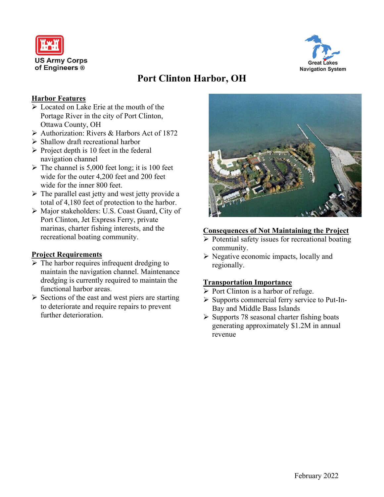



# **Port Clinton Harbor, OH**

## **Harbor Features**

- ➢ Located on Lake Erie at the mouth of the Portage River in the city of Port Clinton, Ottawa County, OH
- ➢ Authorization: Rivers & Harbors Act of 1872
- ➢ Shallow draft recreational harbor
- $\triangleright$  Project depth is 10 feet in the federal navigation channel
- $\triangleright$  The channel is 5,000 feet long; it is 100 feet wide for the outer 4,200 feet and 200 feet wide for the inner 800 feet.
- $\triangleright$  The parallel east jetty and west jetty provide a total of 4,180 feet of protection to the harbor.
- ➢ Major stakeholders: U.S. Coast Guard, City of Port Clinton, Jet Express Ferry, private marinas, charter fishing interests, and the recreational boating community.

#### **Project Requirements**

- $\triangleright$  The harbor requires infrequent dredging to maintain the navigation channel. Maintenance dredging is currently required to maintain the functional harbor areas.
- ➢ Sections of the east and west piers are starting to deteriorate and require repairs to prevent further deterioration.



### **Consequences of Not Maintaining the Project**

- ➢ Potential safety issues for recreational boating community.
- $\triangleright$  Negative economic impacts, locally and regionally.

#### **Transportation Importance**

- ➢ Port Clinton is a harbor of refuge.
- ➢ Supports commercial ferry service to Put-In-Bay and Middle Bass Islands
- $\triangleright$  Supports 78 seasonal charter fishing boats generating approximately \$1.2M in annual revenue